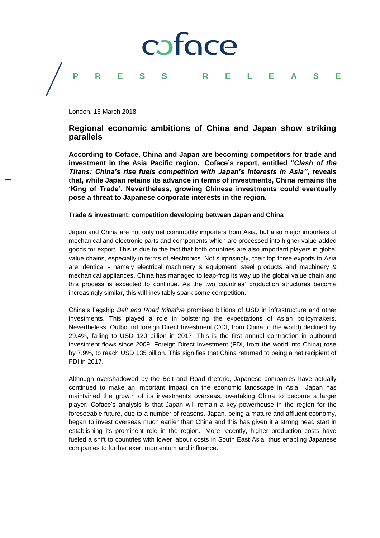

## **PRESS RELEASE**

London, 16 March 2018

### **Regional economic ambitions of China and Japan show striking parallels**

**According to Coface, China and Japan are becoming competitors for trade and investment in the Asia Pacific region. Coface's report, entitled "***Clash of the Titans: China's rise fuels competition with Japan's interests in Asia"***, reveals that, while Japan retains its advance in terms of investments, China remains the 'King of Trade'. Nevertheless, growing Chinese investments could eventually pose a threat to Japanese corporate interests in the region.**

#### **Trade & investment: competition developing between Japan and China**

Japan and China are not only net commodity importers from Asia, but also major importers of mechanical and electronic parts and components which are processed into higher value-added goods for export. This is due to the fact that both countries are also important players in global value chains, especially in terms of electronics. Not surprisingly, their top three exports to Asia are identical - namely electrical machinery & equipment, steel products and machinery & mechanical appliances. China has managed to leap-frog its way up the global value chain and this process is expected to continue. As the two countries' production structures become increasingly similar, this will inevitably spark some competition.

China's flagship *Belt and Road Initiative* promised billions of USD in infrastructure and other investments. This played a role in bolstering the expectations of Asian policymakers. Nevertheless, Outbound foreign Direct Investment (ODI, from China to the world) declined by 29.4%, falling to USD 120 billion in 2017. This is the first annual contraction in outbound investment flows since 2009. Foreign Direct Investment (FDI, from the world into China) rose by 7.9%, to reach USD 135 billion. This signifies that China returned to being a net recipient of FDI in 2017.

Although overshadowed by the Belt and Road rhetoric, Japanese companies have actually continued to make an important impact on the economic landscape in Asia. Japan has maintained the growth of its investments overseas, overtaking China to become a larger player. Coface's analysis is that Japan will remain a key powerhouse in the region for the foreseeable future, due to a number of reasons. Japan, being a mature and affluent economy, began to invest overseas much earlier than China and this has given it a strong head start in establishing its prominent role in the region. More recently, higher production costs have fueled a shift to countries with lower labour costs in South East Asia, thus enabling Japanese companies to further exert momentum and influence.